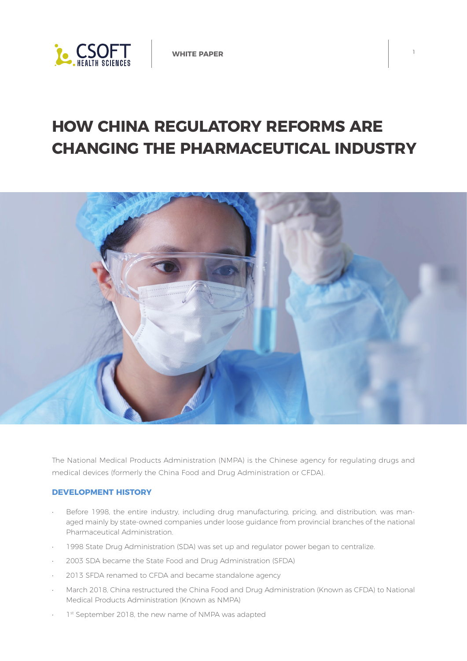

# **HOW CHINA REGULATORY REFORMS ARE CHANGING THE PHARMACEUTICAL INDUSTRY**



The National Medical Products Administration (NMPA) is the Chinese agency for regulating drugs and medical devices (formerly the China Food and Drug Administration or CFDA).

## **DEVELOPMENT HISTORY**

- Before 1998, the entire industry, including drug manufacturing, pricing, and distribution, was managed mainly by state-owned companies under loose guidance from provincial branches of the national Pharmaceutical Administration.
- 1998 State Drug Administration (SDA) was set up and regulator power began to centralize.
- 2003 SDA became the State Food and Drug Administration (SFDA)
- 2013 SFDA renamed to CFDA and became standalone agency
- March 2018, China restructured the China Food and Drug Administration (Known as CFDA) to National Medical Products Administration (Known as NMPA)
- 1st September 2018, the new name of NMPA was adapted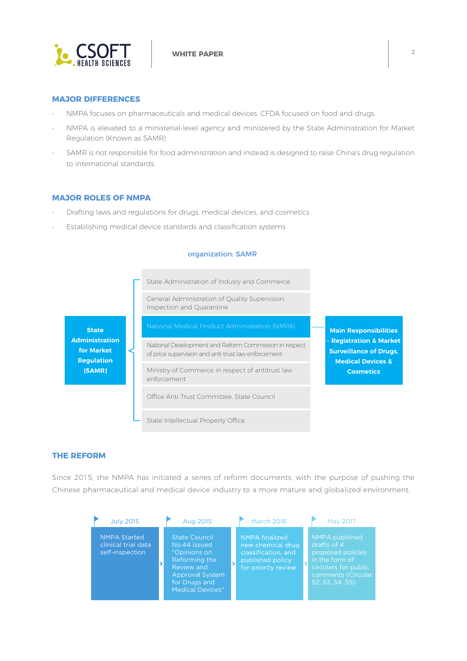

## **MAJOR DIFFERENCES**

- NMPA focuses on pharmaceuticals and medical devices. CFDA focused on food and drugs.
- NMPA is elevated to a ministerial-level agency and ministered by the State Administration for Market Regulation (Known as SAMR)
- SAMR is not responsible for food administration and instead is designed to raise China's drug regulation to international standards.

#### **MAJOR ROLES OF NMPA**

- Drafting laws and regulations for drugs, medical devices, and cosmetics
- Establishing medical device standards and classification systems

#### organization: SAMR



## **THE REFORM**

Since 2015, the NMPA has initiated a series of reform documents, with the purpose of pushing the Chinese pharmaceutical and medical device industry to a more mature and globalized environment.

| <b>July 2015</b>                                              | Aug 2015                                                                                                                                                         | <b>March 2016</b>                                                                                     | May 2017                                                                                                                              |
|---------------------------------------------------------------|------------------------------------------------------------------------------------------------------------------------------------------------------------------|-------------------------------------------------------------------------------------------------------|---------------------------------------------------------------------------------------------------------------------------------------|
| <b>NMPA Started</b><br>clinical trial data<br>self-inspection | <b>State Council</b><br>No.44 issued<br>"Opinions on<br><b>Reforming the</b><br>Review and<br><b>Approval System</b><br>for Drugs and<br><b>Medical Devices"</b> | NMPA finalized<br>new chemical drug<br>classification, and<br>published policy<br>for priority review | NMPA published<br>drafts of 4<br>proposed policies<br>in the form of<br>circulars for public<br>comments (Circular<br>52, 53, 54, 55) |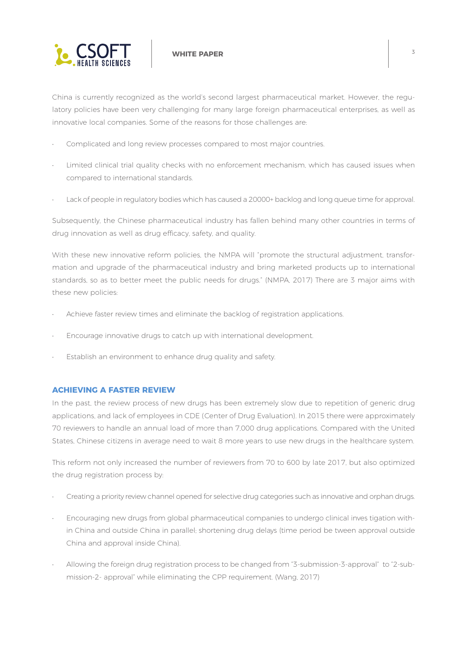

China is currently recognized as the world's second largest pharmaceutical market. However, the regulatory policies have been very challenging for many large foreign pharmaceutical enterprises, as well as innovative local companies. Some of the reasons for those challenges are:

- Complicated and long review processes compared to most major countries.
- Limited clinical trial quality checks with no enforcement mechanism, which has caused issues when compared to international standards.
- Lack of people in regulatory bodies which has caused a 20000+ backlog and long queue time for approval.

Subsequently, the Chinese pharmaceutical industry has fallen behind many other countries in terms of drug innovation as well as drug efficacy, safety, and quality.

With these new innovative reform policies, the NMPA will "promote the structural adjustment, transformation and upgrade of the pharmaceutical industry and bring marketed products up to international standards, so as to better meet the public needs for drugs." (NMPA, 2017) There are 3 major aims with these new policies:

- Achieve faster review times and eliminate the backlog of registration applications.
- Encourage innovative drugs to catch up with international development.
- Establish an environment to enhance drug quality and safety.

## **ACHIEVING A FASTER REVIEW**

In the past, the review process of new drugs has been extremely slow due to repetition of generic drug applications, and lack of employees in CDE (Center of Drug Evaluation). In 2015 there were approximately 70 reviewers to handle an annual load of more than 7,000 drug applications. Compared with the United States, Chinese citizens in average need to wait 8 more years to use new drugs in the healthcare system.

This reform not only increased the number of reviewers from 70 to 600 by late 2017, but also optimized the drug registration process by:

- Creating a priority review channel opened for selective drug categories such as innovative and orphan drugs.
- Encouraging new drugs from global pharmaceutical companies to undergo clinical inves tigation within China and outside China in parallel; shortening drug delays (time period be tween approval outside China and approval inside China).
- Allowing the foreign drug registration process to be changed from "3-submission-3-approval" to "2-submission-2- approval" while eliminating the CPP requirement. (Wang, 2017)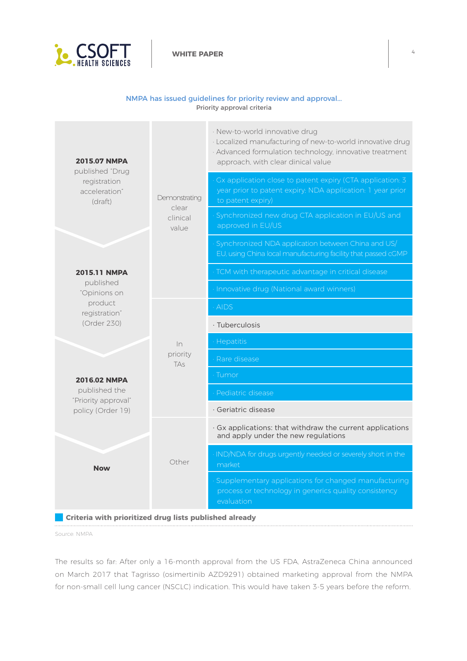

#### NMPA has issued guidelines for priority review and approval... Priority approval criteria

| <b>2015.07 NMPA</b><br>published "Drug<br>registration<br>acceleration"<br>(draft)<br>2015.11 NMPA<br>published<br>"Opinions on<br>product<br>registration"<br>(Order 230)<br>2016.02 NMPA<br>published the<br>"Priority approval"<br>policy (Order 19) | Demonstrating<br>clear<br>clinical<br>value<br>ln<br>priority<br><b>TAs</b><br>Other | · New-to-world innovative drug<br>· Localized manufacturing of new-to-world innovative drug<br>· Advanced formulation technology, innovative treatment<br>approach, with clear dinical value |  |
|---------------------------------------------------------------------------------------------------------------------------------------------------------------------------------------------------------------------------------------------------------|--------------------------------------------------------------------------------------|----------------------------------------------------------------------------------------------------------------------------------------------------------------------------------------------|--|
|                                                                                                                                                                                                                                                         |                                                                                      | Gx application close to patent expiry (CTA application: 3<br>year prior to patent expiry: NDA application: 1 year prior<br>to patent expiry)                                                 |  |
|                                                                                                                                                                                                                                                         |                                                                                      | Synchronized new drug CTA application in EU/US and<br>approved in EU/US                                                                                                                      |  |
|                                                                                                                                                                                                                                                         |                                                                                      | Synchronized NDA application between China and US/<br>EU, using China local manufacturing facility that passed cGMP                                                                          |  |
|                                                                                                                                                                                                                                                         |                                                                                      | TCM with therapeutic advantage in critical disease                                                                                                                                           |  |
|                                                                                                                                                                                                                                                         |                                                                                      | Innovative drug (National award winners)                                                                                                                                                     |  |
|                                                                                                                                                                                                                                                         |                                                                                      | AIDS                                                                                                                                                                                         |  |
|                                                                                                                                                                                                                                                         |                                                                                      | · Tuberculosis                                                                                                                                                                               |  |
|                                                                                                                                                                                                                                                         |                                                                                      | Hepatitis                                                                                                                                                                                    |  |
|                                                                                                                                                                                                                                                         |                                                                                      | Rare disease                                                                                                                                                                                 |  |
|                                                                                                                                                                                                                                                         |                                                                                      | Tumor                                                                                                                                                                                        |  |
|                                                                                                                                                                                                                                                         |                                                                                      | Pediatric disease                                                                                                                                                                            |  |
|                                                                                                                                                                                                                                                         |                                                                                      | · Geriatric disease                                                                                                                                                                          |  |
|                                                                                                                                                                                                                                                         |                                                                                      | · Gx applications: that withdraw the current applications<br>and apply under the new regulations                                                                                             |  |
| <b>Now</b>                                                                                                                                                                                                                                              |                                                                                      | IND/NDA for drugs urgently needed or severely short in the<br>market                                                                                                                         |  |
|                                                                                                                                                                                                                                                         |                                                                                      | Supplementary applications for changed manufacturing<br>process or technology in generics quality consistency<br>evaluation                                                                  |  |
| Criteria with prioritized drug lists published already                                                                                                                                                                                                  |                                                                                      |                                                                                                                                                                                              |  |

Source: NMPA

The results so far: After only a 16-month approval from the US FDA, AstraZeneca China announced on March 2017 that Tagrisso (osimertinib AZD9291) obtained marketing approval from the NMPA for non-small cell lung cancer (NSCLC) indication. This would have taken 3-5 years before the reform.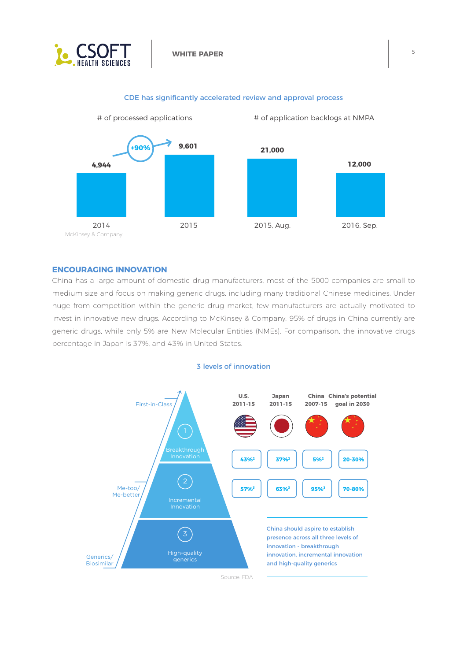



#### CDE has significantly accelerated review and approval process

## **ENCOURAGING INNOVATION**

China has a large amount of domestic drug manufacturers, most of the 5000 companies are small to medium size and focus on making generic drugs, including many traditional Chinese medicines. Under huge from competition within the generic drug market, few manufacturers are actually motivated to invest in innovative new drugs. According to McKinsey & Company, 95% of drugs in China currently are generic drugs, while only 5% are New Molecular Entities (NMEs). For comparison, the innovative drugs percentage in Japan is 37%, and 43% in United States.

## 3 levels of innovation

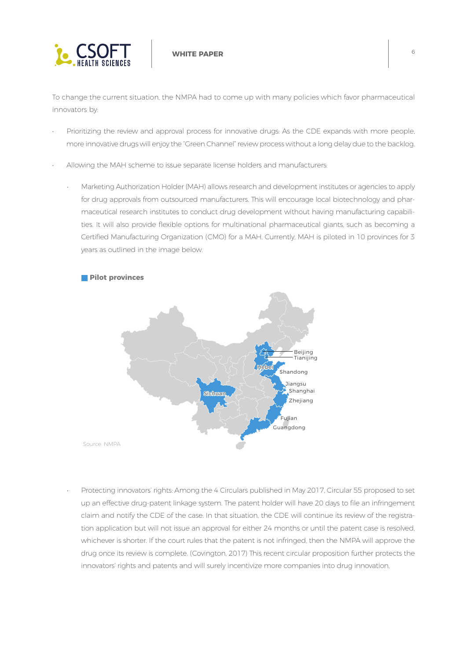

To change the current situation, the NMPA had to come up with many policies which favor pharmaceutical innovators by:

- Prioritizing the review and approval process for innovative drugs: As the CDE expands with more people, more innovative drugs will enjoy the "Green Channel" review process without a long delay due to the backlog.
- Allowing the MAH scheme to issue separate license holders and manufacturers:
	- Marketing Authorization Holder (MAH) allows research and development institutes or agencies to apply for drug approvals from outsourced manufacturers. This will encourage local biotechnology and pharmaceutical research institutes to conduct drug development without having manufacturing capabilities. It will also provide flexible options for multinational pharmaceutical giants, such as becoming a Certified Manufacturing Organization (CMO) for a MAH. Currently, MAH is piloted in 10 provinces for 3 years as outlined in the image below.



• Protecting innovators' rights: Among the 4 Circulars published in May 2017, Circular 55 proposed to set up an effective drug-patent linkage system. The patent holder will have 20 days to file an infringement claim and notify the CDE of the case. In that situation, the CDE will continue its review of the registration application but will not issue an approval for either 24 months or until the patent case is resolved, whichever is shorter. If the court rules that the patent is not infringed, then the NMPA will approve the drug once its review is complete. (Covington, 2017) This recent circular proposition further protects the innovators' rights and patents and will surely incentivize more companies into drug innovation.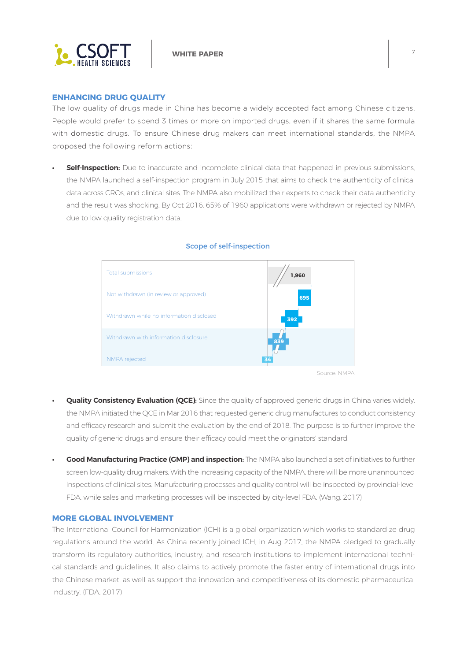

#### **ENHANCING DRUG QUALITY**

The low quality of drugs made in China has become a widely accepted fact among Chinese citizens. People would prefer to spend 3 times or more on imported drugs, even if it shares the same formula with domestic drugs. To ensure Chinese drug makers can meet international standards, the NMPA proposed the following reform actions:

**• Self-Inspection:** Due to inaccurate and incomplete clinical data that happened in previous submissions, the NMPA launched a self-inspection program in July 2015 that aims to check the authenticity of clinical data across CROs, and clinical sites. The NMPA also mobilized their experts to check their data authenticity and the result was shocking. By Oct 2016, 65% of 1960 applications were withdrawn or rejected by NMPA due to low quality registration data.



#### Scope of self-inspection

**Quality Consistency Evaluation (QCE):** Since the quality of approved generic drugs in China varies widely, the NMPA initiated the QCE in Mar 2016 that requested generic drug manufactures to conduct consistency and efficacy research and submit the evaluation by the end of 2018. The purpose is to further improve the

quality of generic drugs and ensure their efficacy could meet the originators' standard.

**• Good Manufacturing Practice (GMP) and inspection:** The NMPA also launched a set of initiatives to further screen low-quality drug makers. With the increasing capacity of the NMPA, there will be more unannounced inspections of clinical sites. Manufacturing processes and quality control will be inspected by provincial-level FDA, while sales and marketing processes will be inspected by city-level FDA. (Wang, 2017)

### **MORE GLOBAL INVOLVEMENT**

The International Council for Harmonization (ICH) is a global organization which works to standardize drug regulations around the world. As China recently joined ICH, in Aug 2017, the NMPA pledged to gradually transform its regulatory authorities, industry, and research institutions to implement international technical standards and guidelines. It also claims to actively promote the faster entry of international drugs into the Chinese market, as well as support the innovation and competitiveness of its domestic pharmaceutical industry. (FDA, 2017)